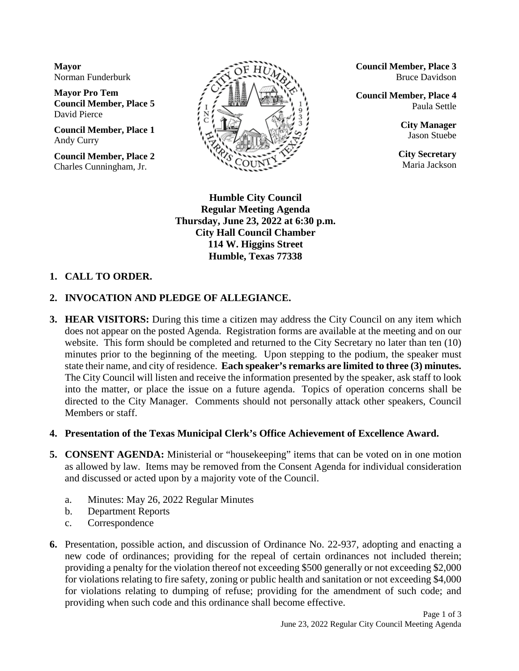**Mayor** Norman Funderburk

**Mayor Pro Tem Council Member, Place 5** David Pierce

**Council Member, Place 1** Andy Curry

**Council Member, Place 2** Charles Cunningham, Jr.



**Council Member, Place 3** Bruce Davidson

**Council Member, Place 4** Paula Settle

> **City Manager** Jason Stuebe

**City Secretary** Maria Jackson

**Humble City Council Regular Meeting Agenda Thursday, June 23, 2022 at 6:30 p.m. City Hall Council Chamber 114 W. Higgins Street Humble, Texas 77338**

## **1. CALL TO ORDER.**

## **2. INVOCATION AND PLEDGE OF ALLEGIANCE.**

**3. HEAR VISITORS:** During this time a citizen may address the City Council on any item which does not appear on the posted Agenda. Registration forms are available at the meeting and on our website. This form should be completed and returned to the City Secretary no later than ten (10) minutes prior to the beginning of the meeting. Upon stepping to the podium, the speaker must state their name, and city of residence. **Each speaker's remarks are limited to three (3) minutes.** The City Council will listen and receive the information presented by the speaker, ask staff to look into the matter, or place the issue on a future agenda. Topics of operation concerns shall be directed to the City Manager. Comments should not personally attack other speakers, Council Members or staff.

#### **4. Presentation of the Texas Municipal Clerk's Office Achievement of Excellence Award.**

- **5. CONSENT AGENDA:** Ministerial or "housekeeping" items that can be voted on in one motion as allowed by law. Items may be removed from the Consent Agenda for individual consideration and discussed or acted upon by a majority vote of the Council.
	- a. Minutes: May 26, 2022 Regular Minutes
	- b. Department Reports
	- c. Correspondence
- **6.** Presentation, possible action, and discussion of Ordinance No. 22-937, adopting and enacting a new code of ordinances; providing for the repeal of certain ordinances not included therein; providing a penalty for the violation thereof not exceeding \$500 generally or not exceeding \$2,000 for violations relating to fire safety, zoning or public health and sanitation or not exceeding \$4,000 for violations relating to dumping of refuse; providing for the amendment of such code; and providing when such code and this ordinance shall become effective.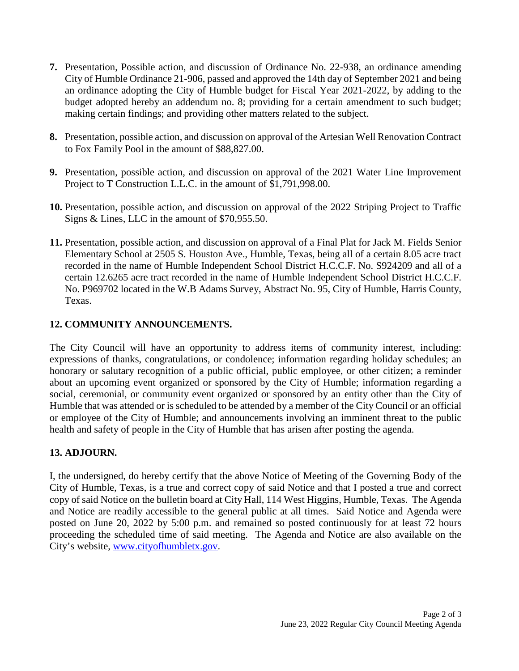- **7.** Presentation, Possible action, and discussion of Ordinance No. 22-938, an ordinance amending City of Humble Ordinance 21-906, passed and approved the 14th day of September 2021 and being an ordinance adopting the City of Humble budget for Fiscal Year 2021-2022, by adding to the budget adopted hereby an addendum no. 8; providing for a certain amendment to such budget; making certain findings; and providing other matters related to the subject.
- **8.** Presentation, possible action, and discussion on approval of the Artesian Well Renovation Contract to Fox Family Pool in the amount of \$88,827.00.
- **9.** Presentation, possible action, and discussion on approval of the 2021 Water Line Improvement Project to T Construction L.L.C. in the amount of \$1,791,998.00.
- **10.** Presentation, possible action, and discussion on approval of the 2022 Striping Project to Traffic Signs & Lines, LLC in the amount of \$70,955.50.
- **11.** Presentation, possible action, and discussion on approval of a Final Plat for Jack M. Fields Senior Elementary School at 2505 S. Houston Ave., Humble, Texas, being all of a certain 8.05 acre tract recorded in the name of Humble Independent School District H.C.C.F. No. S924209 and all of a certain 12.6265 acre tract recorded in the name of Humble Independent School District H.C.C.F. No. P969702 located in the W.B Adams Survey, Abstract No. 95, City of Humble, Harris County, Texas.

## **12. COMMUNITY ANNOUNCEMENTS.**

The City Council will have an opportunity to address items of community interest, including: expressions of thanks, congratulations, or condolence; information regarding holiday schedules; an honorary or salutary recognition of a public official, public employee, or other citizen; a reminder about an upcoming event organized or sponsored by the City of Humble; information regarding a social, ceremonial, or community event organized or sponsored by an entity other than the City of Humble that was attended or is scheduled to be attended by a member of the City Council or an official or employee of the City of Humble; and announcements involving an imminent threat to the public health and safety of people in the City of Humble that has arisen after posting the agenda.

# **13. ADJOURN.**

I, the undersigned, do hereby certify that the above Notice of Meeting of the Governing Body of the City of Humble, Texas, is a true and correct copy of said Notice and that I posted a true and correct copy of said Notice on the bulletin board at City Hall, 114 West Higgins, Humble, Texas. The Agenda and Notice are readily accessible to the general public at all times. Said Notice and Agenda were posted on June 20, 2022 by 5:00 p.m. and remained so posted continuously for at least 72 hours proceeding the scheduled time of said meeting. The Agenda and Notice are also available on the City's website, [www.cityofhumbletx.gov.](http://www.cityofhumbletx.gov/)